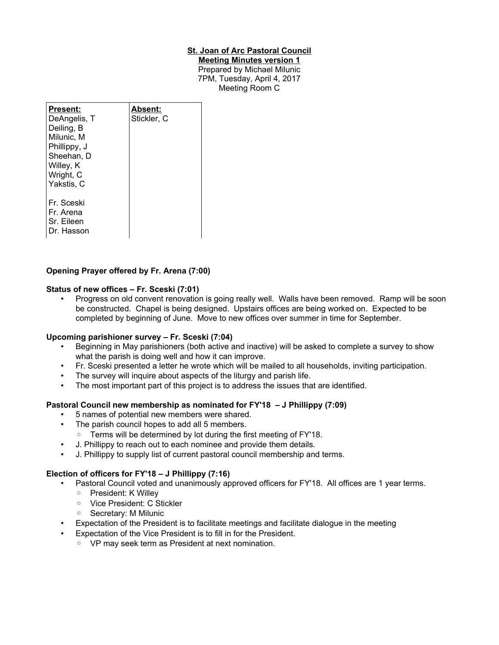### **St. Joan of Arc Pastoral Council**

**Meeting Minutes version 1** Prepared by Michael Milunic 7PM, Tuesday, April 4, 2017 Meeting Room C

| Present:<br>DeAngelis, T<br>Deiling, B<br>Milunic, M<br>Phillippy, J<br>Sheehan, D<br>Willey, K<br>Wright, C<br>Yakstis, C | Absent:<br>Stickler, C |
|----------------------------------------------------------------------------------------------------------------------------|------------------------|
| Fr. Sceski<br>Fr. Arena<br>Sr. Eileen<br>Dr. Hasson                                                                        |                        |

### **Opening Prayer offered by Fr. Arena (7:00)**

#### **Status of new offices – Fr. Sceski (7:01)**

• Progress on old convent renovation is going really well. Walls have been removed. Ramp will be soon be constructed. Chapel is being designed. Upstairs offices are being worked on. Expected to be completed by beginning of June. Move to new offices over summer in time for September.

#### **Upcoming parishioner survey – Fr. Sceski (7:04)**

- Beginning in May parishioners (both active and inactive) will be asked to complete a survey to show what the parish is doing well and how it can improve.
- Fr. Sceski presented a letter he wrote which will be mailed to all households, inviting participation.
- The survey will inquire about aspects of the liturgy and parish life.
- The most important part of this project is to address the issues that are identified.

#### **Pastoral Council new membership as nominated for FY'18 – J Phillippy (7:09)**

- 5 names of potential new members were shared.
- The parish council hopes to add all 5 members.
	- Terms will be determined by lot during the first meeting of FY'18.
- J. Phillippy to reach out to each nominee and provide them details.
- J. Phillippy to supply list of current pastoral council membership and terms.

#### **Election of officers for FY'18 – J Phillippy (7:16)**

- Pastoral Council voted and unanimously approved officers for FY'18. All offices are 1 year terms.
	- President: K Willey
	- Vice President: C Stickler
	- Secretary: M Milunic
- Expectation of the President is to facilitate meetings and facilitate dialogue in the meeting
	- Expectation of the Vice President is to fill in for the President.
		- VP may seek term as President at next nomination.